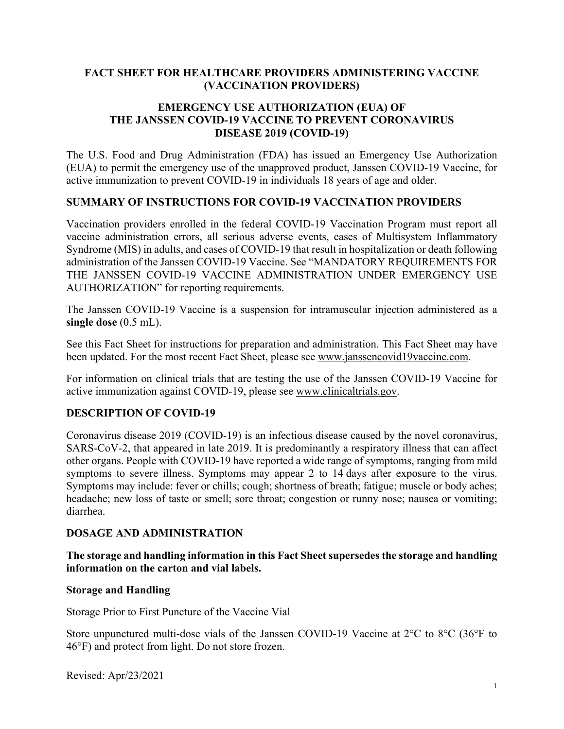## **FACT SHEET FOR HEALTHCARE PROVIDERS ADMINISTERING VACCINE (VACCINATION PROVIDERS)**

#### **EMERGENCY USE AUTHORIZATION (EUA) OF THE JANSSEN COVID-19 VACCINE TO PREVENT CORONAVIRUS DISEASE 2019 (COVID-19)**

The U.S. Food and Drug Administration (FDA) has issued an Emergency Use Authorization (EUA) to permit the emergency use of the unapproved product, Janssen COVID-19 Vaccine, for active immunization to prevent COVID-19 in individuals 18 years of age and older.

#### **SUMMARY OF INSTRUCTIONS FOR COVID-19 VACCINATION PROVIDERS**

Vaccination providers enrolled in the federal COVID-19 Vaccination Program must report all vaccine administration errors, all serious adverse events, cases of Multisystem Inflammatory Syndrome (MIS) in adults, and cases of COVID-19 that result in hospitalization or death following administration of the Janssen COVID-19 Vaccine. See "MANDATORY REQUIREMENTS FOR THE JANSSEN COVID-19 VACCINE ADMINISTRATION UNDER EMERGENCY USE AUTHORIZATION" for reporting requirements.

The Janssen COVID-19 Vaccine is a suspension for intramuscular injection administered as a **single dose** (0.5 mL).

See this Fact Sheet for instructions for preparation and administration. This Fact Sheet may have been updated. For the most recent Fact Sheet, please see [www.janssencovid19vaccine.com.](http://www.janssencovid19vaccine.com/)

For information on clinical trials that are testing the use of the Janssen COVID-19 Vaccine for active immunization against COVID-19, please see [www.clinicaltrials.gov.](http://www.clinicaltrials.gov/)

## **DESCRIPTION OF COVID-19**

Coronavirus disease 2019 (COVID-19) is an infectious disease caused by the novel coronavirus, SARS-CoV-2, that appeared in late 2019. It is predominantly a respiratory illness that can affect other organs. People with COVID-19 have reported a wide range of symptoms, ranging from mild symptoms to severe illness. Symptoms may appear 2 to 14 days after exposure to the virus. Symptoms may include: fever or chills; cough; shortness of breath; fatigue; muscle or body aches; headache; new loss of taste or smell; sore throat; congestion or runny nose; nausea or vomiting; diarrhea.

#### **DOSAGE AND ADMINISTRATION**

**The storage and handling information in this Fact Sheet supersedes the storage and handling information on the carton and vial labels.**

#### **Storage and Handling**

#### Storage Prior to First Puncture of the Vaccine Vial

Store unpunctured multi-dose vials of the Janssen COVID-19 Vaccine at 2°C to 8°C (36°F to 46°F) and protect from light. Do not store frozen.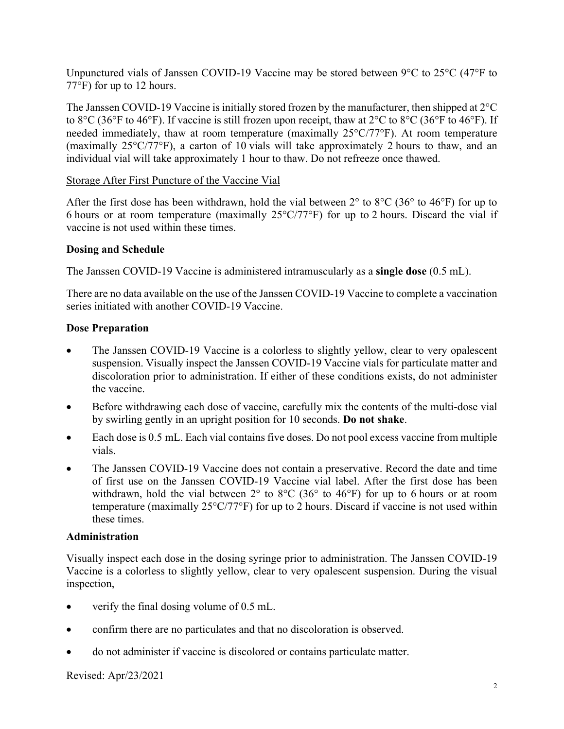Unpunctured vials of Janssen COVID-19 Vaccine may be stored between 9°C to 25°C (47°F to 77°F) for up to 12 hours.

The Janssen COVID-19 Vaccine is initially stored frozen by the manufacturer, then shipped at 2°C to 8°C (36°F to 46°F). If vaccine is still frozen upon receipt, thaw at 2°C to 8°C (36°F to 46°F). If needed immediately, thaw at room temperature (maximally 25°C/77°F). At room temperature (maximally 25°C/77°F), a carton of 10 vials will take approximately 2 hours to thaw, and an individual vial will take approximately 1 hour to thaw. Do not refreeze once thawed.

#### Storage After First Puncture of the Vaccine Vial

After the first dose has been withdrawn, hold the vial between  $2^{\circ}$  to  $8^{\circ}$ C (36° to 46°F) for up to 6 hours or at room temperature (maximally 25°C/77°F) for up to 2 hours. Discard the vial if vaccine is not used within these times.

#### **Dosing and Schedule**

The Janssen COVID-19 Vaccine is administered intramuscularly as a **single dose** (0.5 mL).

There are no data available on the use of the Janssen COVID-19 Vaccine to complete a vaccination series initiated with another COVID-19 Vaccine.

#### **Dose Preparation**

- The Janssen COVID-19 Vaccine is a colorless to slightly yellow, clear to very opalescent suspension. Visually inspect the Janssen COVID-19 Vaccine vials for particulate matter and discoloration prior to administration. If either of these conditions exists, do not administer the vaccine.
- Before withdrawing each dose of vaccine, carefully mix the contents of the multi-dose vial by swirling gently in an upright position for 10 seconds. **Do not shake**.
- Each dose is 0.5 mL. Each vial contains five doses. Do not pool excess vaccine from multiple vials.
- The Janssen COVID-19 Vaccine does not contain a preservative. Record the date and time of first use on the Janssen COVID-19 Vaccine vial label. After the first dose has been withdrawn, hold the vial between  $2^{\circ}$  to  $8^{\circ}$ C (36 $^{\circ}$  to 46 $^{\circ}$ F) for up to 6 hours or at room temperature (maximally 25°C/77°F) for up to 2 hours. Discard if vaccine is not used within these times.

#### **Administration**

Visually inspect each dose in the dosing syringe prior to administration. The Janssen COVID-19 Vaccine is a colorless to slightly yellow, clear to very opalescent suspension. During the visual inspection,

- verify the final dosing volume of 0.5 mL.
- confirm there are no particulates and that no discoloration is observed.
- do not administer if vaccine is discolored or contains particulate matter.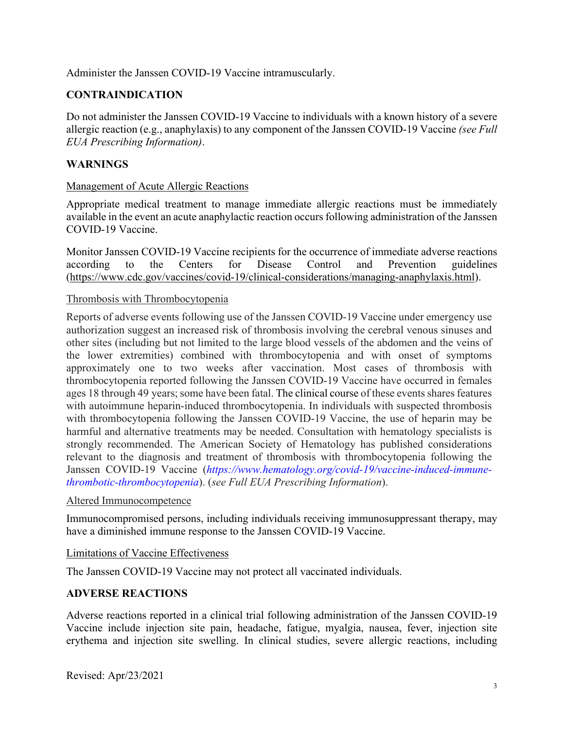Administer the Janssen COVID-19 Vaccine intramuscularly.

## **CONTRAINDICATION**

Do not administer the Janssen COVID-19 Vaccine to individuals with a known history of a severe allergic reaction (e.g., anaphylaxis) to any component of the Janssen COVID-19 Vaccine *(see Full EUA Prescribing Information)*.

## **WARNINGS**

#### Management of Acute Allergic Reactions

Appropriate medical treatment to manage immediate allergic reactions must be immediately available in the event an acute anaphylactic reaction occurs following administration of the Janssen COVID-19 Vaccine.

Monitor Janssen COVID-19 Vaccine recipients for the occurrence of immediate adverse reactions according to the Centers for Disease Control and Prevention guidelines [\(https://www.cdc.gov/vaccines/covid-19/clinical-considerations/managing-anaphylaxis.html\)](https://www.cdc.gov/vaccines/covid-19/clinical-considerations/managing-anaphylaxis.html).

#### Thrombosis with Thrombocytopenia

Reports of adverse events following use of the Janssen COVID-19 Vaccine under emergency use authorization suggest an increased risk of thrombosis involving the cerebral venous sinuses and other sites (including but not limited to the large blood vessels of the abdomen and the veins of the lower extremities) combined with thrombocytopenia and with onset of symptoms approximately one to two weeks after vaccination. Most cases of thrombosis with thrombocytopenia reported following the Janssen COVID-19 Vaccine have occurred in females ages 18 through 49 years; some have been fatal. The clinical course of these events shares features with autoimmune heparin-induced thrombocytopenia. In individuals with suspected thrombosis with thrombocytopenia following the Janssen COVID-19 Vaccine, the use of heparin may be harmful and alternative treatments may be needed. Consultation with hematology specialists is strongly recommended. The American Society of Hematology has published considerations relevant to the diagnosis and treatment of thrombosis with thrombocytopenia following the Janssen COVID-19 Vaccine (*[https://www.hematology.org/covid-19/vaccine-induced-immune](https://www.hematology.org/covid-19/vaccine-induced-immune-thrombotic-thrombocytopenia)[thrombotic-thrombocytopenia](https://www.hematology.org/covid-19/vaccine-induced-immune-thrombotic-thrombocytopenia)*). (*see Full EUA Prescribing Information*).

#### Altered Immunocompetence

Immunocompromised persons, including individuals receiving immunosuppressant therapy, may have a diminished immune response to the Janssen COVID-19 Vaccine.

#### Limitations of Vaccine Effectiveness

The Janssen COVID-19 Vaccine may not protect all vaccinated individuals.

#### **ADVERSE REACTIONS**

Adverse reactions reported in a clinical trial following administration of the Janssen COVID-19 Vaccine include injection site pain, headache, fatigue, myalgia, nausea, fever, injection site erythema and injection site swelling. In clinical studies, severe allergic reactions, including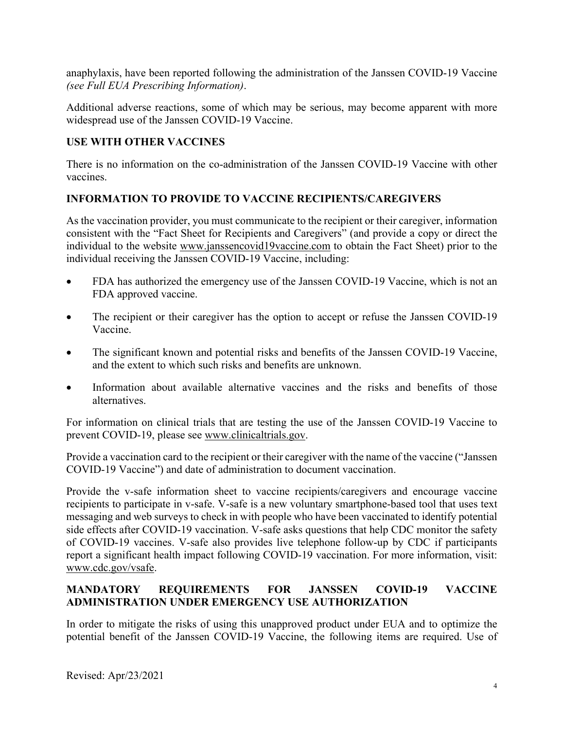anaphylaxis, have been reported following the administration of the Janssen COVID-19 Vaccine *(see Full EUA Prescribing Information)*.

Additional adverse reactions, some of which may be serious, may become apparent with more widespread use of the Janssen COVID-19 Vaccine.

## **USE WITH OTHER VACCINES**

There is no information on the co-administration of the Janssen COVID-19 Vaccine with other vaccines.

## **INFORMATION TO PROVIDE TO VACCINE RECIPIENTS/CAREGIVERS**

As the vaccination provider, you must communicate to the recipient or their caregiver, information consistent with the "Fact Sheet for Recipients and Caregivers" (and provide a copy or direct the individual to the website [www.janssencovid19vaccine.com](http://www.janssencovid19vaccine.com/) to obtain the Fact Sheet) prior to the individual receiving the Janssen COVID-19 Vaccine, including:

- FDA has authorized the emergency use of the Janssen COVID-19 Vaccine, which is not an FDA approved vaccine.
- The recipient or their caregiver has the option to accept or refuse the Janssen COVID-19 Vaccine.
- The significant known and potential risks and benefits of the Janssen COVID-19 Vaccine, and the extent to which such risks and benefits are unknown.
- Information about available alternative vaccines and the risks and benefits of those alternatives.

For information on clinical trials that are testing the use of the Janssen COVID-19 Vaccine to prevent COVID-19, please see [www.clinicaltrials.gov.](http://www.clinicaltrials.gov/)

Provide a vaccination card to the recipient or their caregiver with the name of the vaccine ("Janssen COVID-19 Vaccine") and date of administration to document vaccination.

Provide the v-safe information sheet to vaccine recipients/caregivers and encourage vaccine recipients to participate in v-safe. V-safe is a new voluntary smartphone-based tool that uses text messaging and web surveys to check in with people who have been vaccinated to identify potential side effects after COVID-19 vaccination. V-safe asks questions that help CDC monitor the safety of COVID-19 vaccines. V-safe also provides live telephone follow-up by CDC if participants report a significant health impact following COVID-19 vaccination. For more information, visit: www.cdc.gov/vsafe.

## **MANDATORY REQUIREMENTS FOR JANSSEN COVID-19 VACCINE ADMINISTRATION UNDER EMERGENCY USE AUTHORIZATION**

In order to mitigate the risks of using this unapproved product under EUA and to optimize the potential benefit of the Janssen COVID-19 Vaccine, the following items are required. Use of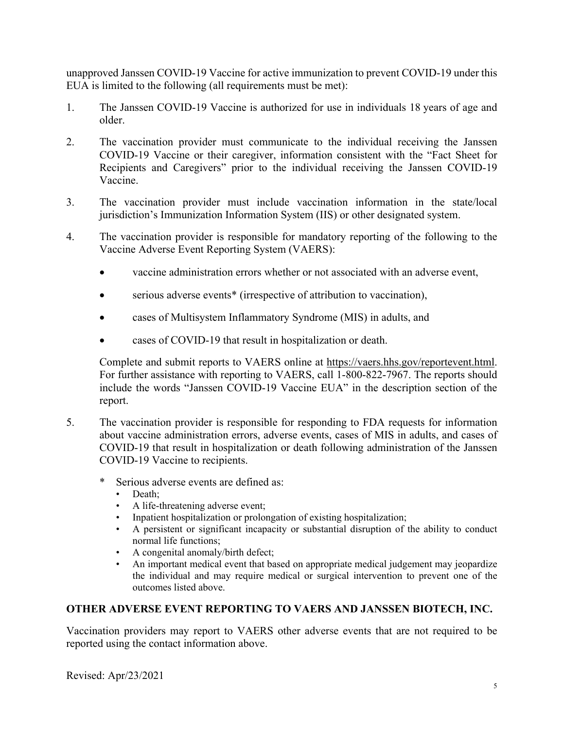unapproved Janssen COVID-19 Vaccine for active immunization to prevent COVID-19 under this EUA is limited to the following (all requirements must be met):

- 1. The Janssen COVID-19 Vaccine is authorized for use in individuals 18 years of age and older.
- 2. The vaccination provider must communicate to the individual receiving the Janssen COVID-19 Vaccine or their caregiver, information consistent with the "Fact Sheet for Recipients and Caregivers" prior to the individual receiving the Janssen COVID-19 Vaccine.
- 3. The vaccination provider must include vaccination information in the state/local jurisdiction's Immunization Information System (IIS) or other designated system.
- 4. The vaccination provider is responsible for mandatory reporting of the following to the Vaccine Adverse Event Reporting System (VAERS):
	- vaccine administration errors whether or not associated with an adverse event,
	- serious adverse events<sup>\*</sup> (irrespective of attribution to vaccination),
	- cases of Multisystem Inflammatory Syndrome (MIS) in adults, and
	- cases of COVID-19 that result in hospitalization or death.

Complete and submit reports to VAERS online at [https://vaers.hhs.gov/reportevent.html.](https://vaers.hhs.gov/reportevent.html) For further assistance with reporting to VAERS, call 1-800-822-7967. The reports should include the words "Janssen COVID-19 Vaccine EUA" in the description section of the report.

- 5. The vaccination provider is responsible for responding to FDA requests for information about vaccine administration errors, adverse events, cases of MIS in adults, and cases of COVID-19 that result in hospitalization or death following administration of the Janssen COVID-19 Vaccine to recipients.
	- \* Serious adverse events are defined as:
		- Death;
		- A life-threatening adverse event;
		- Inpatient hospitalization or prolongation of existing hospitalization;
		- A persistent or significant incapacity or substantial disruption of the ability to conduct normal life functions;
		- A congenital anomaly/birth defect;
		- An important medical event that based on appropriate medical judgement may jeopardize the individual and may require medical or surgical intervention to prevent one of the outcomes listed above.

## **OTHER ADVERSE EVENT REPORTING TO VAERS AND JANSSEN BIOTECH, INC.**

Vaccination providers may report to VAERS other adverse events that are not required to be reported using the contact information above.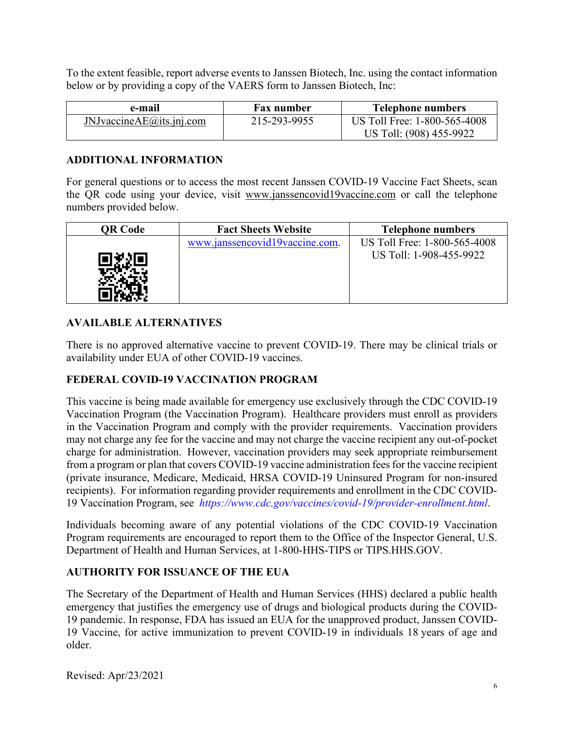To the extent feasible, report adverse events to Janssen Biotech, Inc. using the contact information below or by providing a copy of the VAERS form to Janssen Biotech, Inc:

| e-mail                  | <b>Fax number</b> | <b>Telephone numbers</b>                                |
|-------------------------|-------------------|---------------------------------------------------------|
| JNJvacineAE@its.ini.com | 215-293-9955      | US Toll Free: 1-800-565-4008<br>US Toll: (908) 455-9922 |

#### **ADDITIONAL INFORMATION**

For general questions or to access the most recent Janssen COVID-19 Vaccine Fact Sheets, scan the QR code using your device, visit [www.janssencovid19vaccine.com](http://www.janssencovid19vaccine.com/) or call the telephone numbers provided below.

| QR Code | <b>Fact Sheets Website</b>     | <b>Telephone numbers</b>                                |
|---------|--------------------------------|---------------------------------------------------------|
|         | www.janssencovid19vaccine.com. | US Toll Free: 1-800-565-4008<br>US Toll: 1-908-455-9922 |

## **AVAILABLE ALTERNATIVES**

There is no approved alternative vaccine to prevent COVID-19. There may be clinical trials or availability under EUA of other COVID-19 vaccines.

## **FEDERAL COVID-19 VACCINATION PROGRAM**

This vaccine is being made available for emergency use exclusively through the CDC COVID-19 Vaccination Program (the Vaccination Program). Healthcare providers must enroll as providers in the Vaccination Program and comply with the provider requirements. Vaccination providers may not charge any fee for the vaccine and may not charge the vaccine recipient any out-of-pocket charge for administration. However, vaccination providers may seek appropriate reimbursement from a program or plan that covers COVID-19 vaccine administration fees for the vaccine recipient (private insurance, Medicare, Medicaid, HRSA COVID-19 Uninsured Program for non-insured recipients). For information regarding provider requirements and enrollment in the CDC COVID-19 Vaccination Program, see *<https://www.cdc.gov/vaccines/covid-19/provider-enrollment.html>*.

Individuals becoming aware of any potential violations of the CDC COVID-19 Vaccination Program requirements are encouraged to report them to the Office of the Inspector General, U.S. Department of Health and Human Services, at 1-800-HHS-TIPS or TIPS.HHS.GOV.

## **AUTHORITY FOR ISSUANCE OF THE EUA**

The Secretary of the Department of Health and Human Services (HHS) declared a public health emergency that justifies the emergency use of drugs and biological products during the COVID-19 pandemic. In response, FDA has issued an EUA for the unapproved product, Janssen COVID-19 Vaccine, for active immunization to prevent COVID-19 in individuals 18 years of age and older.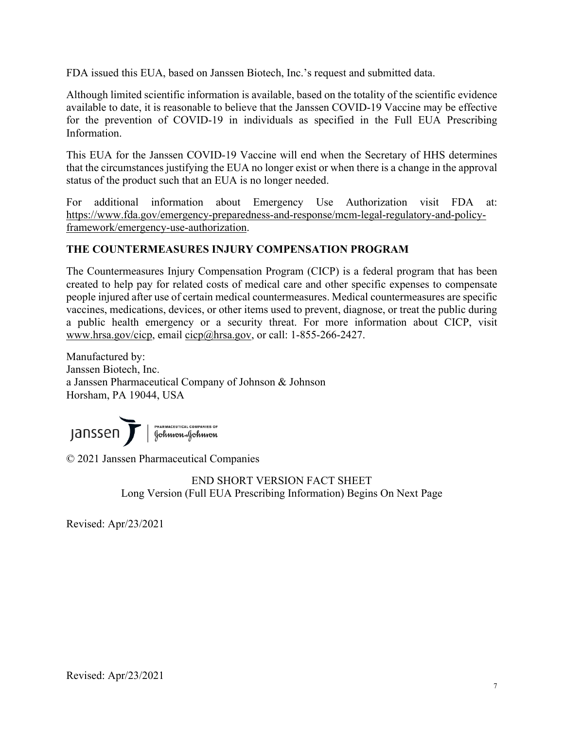FDA issued this EUA, based on Janssen Biotech, Inc.'s request and submitted data.

Although limited scientific information is available, based on the totality of the scientific evidence available to date, it is reasonable to believe that the Janssen COVID-19 Vaccine may be effective for the prevention of COVID-19 in individuals as specified in the Full EUA Prescribing Information.

This EUA for the Janssen COVID-19 Vaccine will end when the Secretary of HHS determines that the circumstances justifying the EUA no longer exist or when there is a change in the approval status of the product such that an EUA is no longer needed.

For additional information about Emergency Use Authorization visit FDA at: [https://www.fda.gov/emergency-preparedness-and-response/mcm-legal-regulatory-and-policy](https://www.fda.gov/emergency-preparedness-and-response/mcm-legal-regulatory-and-policy-framework/emergency-use-authorization)[framework/emergency-use-authorization.](https://www.fda.gov/emergency-preparedness-and-response/mcm-legal-regulatory-and-policy-framework/emergency-use-authorization)

## **THE COUNTERMEASURES INJURY COMPENSATION PROGRAM**

The Countermeasures Injury Compensation Program (CICP) is a federal program that has been created to help pay for related costs of medical care and other specific expenses to compensate people injured after use of certain medical countermeasures. Medical countermeasures are specific vaccines, medications, devices, or other items used to prevent, diagnose, or treat the public during a public health emergency or a security threat. For more information about CICP, visit [www.hrsa.gov/cicp,](http://www.hrsa.gov/cicp) email [cicp@hrsa.gov,](mailto:cicp@hrsa.gov) or call: 1-855-266-2427.

Manufactured by: Janssen Biotech, Inc. a Janssen Pharmaceutical Company of Johnson & Johnson Horsham, PA 19044, USA

JANSSEN Sur l'Annuaceurical COMPANIES OF

© 2021 Janssen Pharmaceutical Companies

END SHORT VERSION FACT SHEET Long Version (Full EUA Prescribing Information) Begins On Next Page

Revised: Apr/23/2021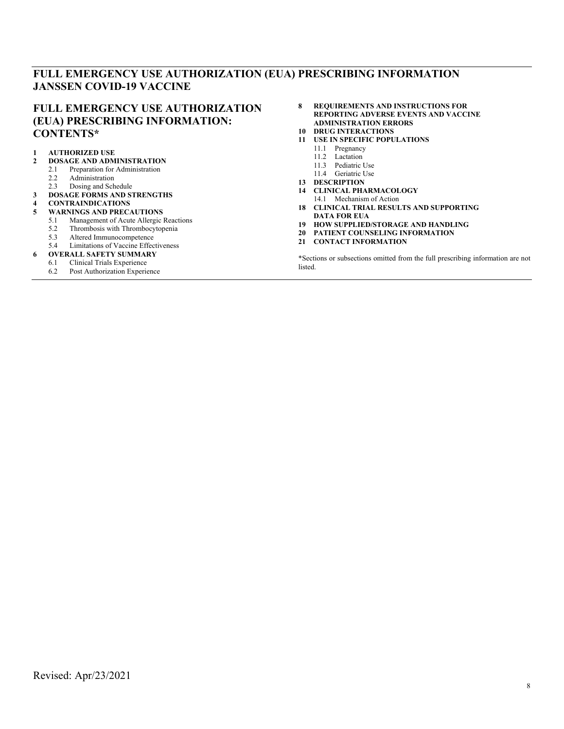## **FULL EMERGENCY USE AUTHORIZATION (EUA) PRESCRIBING INFORMATION JANSSEN COVID-19 VACCINE**

#### **FULL EMERGENCY USE AUTHORIZATION (EUA) PRESCRIBING INFORMATION: CONTENTS\***

# **1 [AUTHORIZED USE](#page-8-0)**

- **2 [DOSAGE AND ADMINISTRATION](#page-8-1)**
- 2.1 [Preparation for Administration](#page-8-2)<br>2.2 Administration
- [Administration](#page-8-3)
- 2.3 [Dosing and Schedule](#page-8-4)
- **3 [DOSAGE FORMS AND STRENGTHS](#page-9-0)**
- **4 [CONTRAINDICATIONS](#page-9-1)**
- **5 [WARNINGS AND PRECAUTIONS](#page-9-2)**
	- 5.1 [Management of Acute Allergic Reactions](#page-9-3)<br>5.2 Thrombosis with Thrombocytopenia
	- 5.2 [Thrombosis with Thrombocytopenia](#page-9-4)<br>5.3 Altered Immunocompetence
	- 5.3 [Altered Immunocompetence](#page-10-0)
- 5.4 [Limitations of Vaccine Effectiveness](#page-10-1)
- **6.1 Clinical Trials Experience**
- [Clinical Trials Experience](#page-10-3)
- 6.2 [Post Authorization Experience](#page-14-0)
- **8 [REQUIREMENTS AND INSTRUCTIONS FOR](#page-14-1)  [REPORTING ADVERSE EVENTS AND VACCINE](#page-14-1)  [ADMINISTRATION ERRORS](#page-14-1)**
- **10 [DRUG INTERACTIONS](#page-16-0)**
- **11 [USE IN SPECIFIC POPULATIONS](#page-16-1)**
	- 11.1 [Pregnancy](#page-16-2)
	- 11.2 [Lactation](#page-17-0)<br>11.3 Pediatric l
	- [Pediatric Use](#page-17-1)
	- 11.4 [Geriatric Use](#page-17-2)
- **13 [DESCRIPTION](#page-17-3)**
- **14 [CLINICAL PHARMACOLOGY](#page-18-0)**
- 14.1 [Mechanism of Action](#page-18-1)
- **18 [CLINICAL TRIAL RESULTS AND SUPPORTING](#page-18-2)  [DATA FOR EUA](#page-18-2)**
- **19 [HOW SUPPLIED/STORAGE AND HANDLING](#page-22-0)**
- **20 [PATIENT COUNSELING INFORMATION](#page-23-0)**
- **21 [CONTACT INFORMATION](#page-23-1)**

\*Sections or subsections omitted from the full prescribing information are not listed.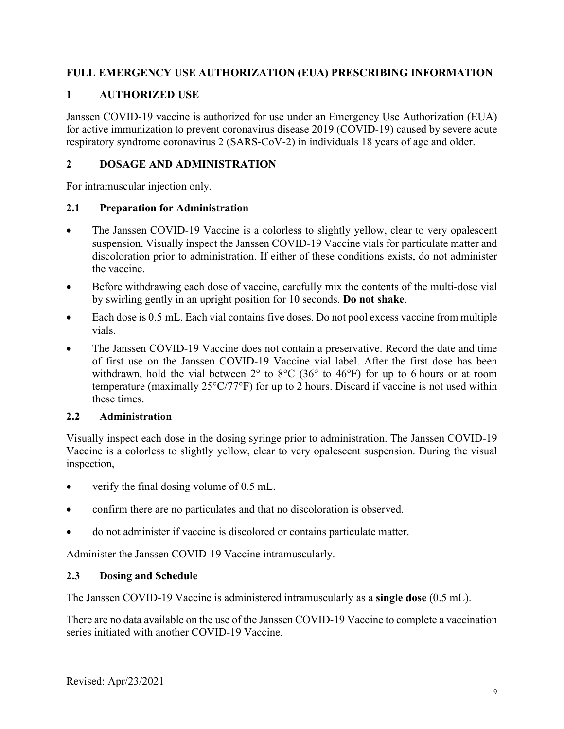## **FULL EMERGENCY USE AUTHORIZATION (EUA) PRESCRIBING INFORMATION**

## <span id="page-8-0"></span>**1 AUTHORIZED USE**

Janssen COVID-19 vaccine is authorized for use under an Emergency Use Authorization (EUA) for active immunization to prevent coronavirus disease 2019 (COVID-19) caused by severe acute respiratory syndrome coronavirus 2 (SARS-CoV-2) in individuals 18 years of age and older.

## <span id="page-8-1"></span>**2 DOSAGE AND ADMINISTRATION**

For intramuscular injection only.

#### <span id="page-8-2"></span>**2.1 Preparation for Administration**

- The Janssen COVID-19 Vaccine is a colorless to slightly yellow, clear to very opalescent suspension. Visually inspect the Janssen COVID-19 Vaccine vials for particulate matter and discoloration prior to administration. If either of these conditions exists, do not administer the vaccine.
- Before withdrawing each dose of vaccine, carefully mix the contents of the multi-dose vial by swirling gently in an upright position for 10 seconds. **Do not shake**.
- Each dose is 0.5 mL. Each vial contains five doses. Do not pool excess vaccine from multiple vials.
- The Janssen COVID-19 Vaccine does not contain a preservative. Record the date and time of first use on the Janssen COVID-19 Vaccine vial label. After the first dose has been withdrawn, hold the vial between 2° to 8°C (36° to 46°F) for up to 6 hours or at room temperature (maximally 25°C/77°F) for up to 2 hours. Discard if vaccine is not used within these times.

## <span id="page-8-3"></span>**2.2 Administration**

Visually inspect each dose in the dosing syringe prior to administration. The Janssen COVID-19 Vaccine is a colorless to slightly yellow, clear to very opalescent suspension. During the visual inspection,

- verify the final dosing volume of 0.5 mL.
- confirm there are no particulates and that no discoloration is observed.
- do not administer if vaccine is discolored or contains particulate matter.

Administer the Janssen COVID-19 Vaccine intramuscularly.

## <span id="page-8-4"></span>**2.3 Dosing and Schedule**

The Janssen COVID-19 Vaccine is administered intramuscularly as a **single dose** (0.5 mL).

There are no data available on the use of the Janssen COVID-19 Vaccine to complete a vaccination series initiated with another COVID-19 Vaccine.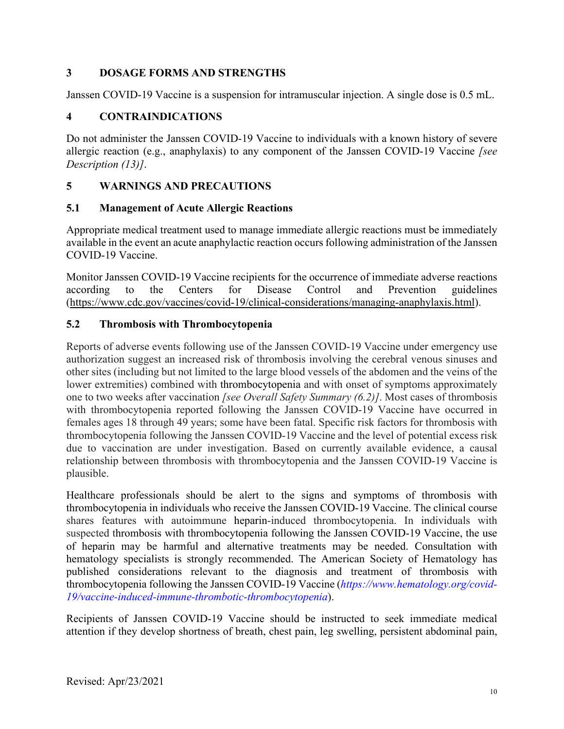## <span id="page-9-0"></span>**3 DOSAGE FORMS AND STRENGTHS**

Janssen COVID-19 Vaccine is a suspension for intramuscular injection. A single dose is 0.5 mL.

## <span id="page-9-1"></span>**4 CONTRAINDICATIONS**

Do not administer the Janssen COVID-19 Vaccine to individuals with a known history of severe allergic reaction (e.g., anaphylaxis) to any component of the Janssen COVID-19 Vaccine *[see Description (13)]*.

## <span id="page-9-2"></span>**5 WARNINGS AND PRECAUTIONS**

#### <span id="page-9-3"></span>**5.1 Management of Acute Allergic Reactions**

Appropriate medical treatment used to manage immediate allergic reactions must be immediately available in the event an acute anaphylactic reaction occurs following administration of the Janssen COVID-19 Vaccine.

Monitor Janssen COVID-19 Vaccine recipients for the occurrence of immediate adverse reactions according to the Centers for Disease Control and Prevention guidelines (https://www.cdc.gov/vaccines/covid-19/clinical-considerations/managing-anaphylaxis.html).

## <span id="page-9-4"></span>**5.2 Thrombosis with Thrombocytopenia**

Reports of adverse events following use of the Janssen COVID-19 Vaccine under emergency use authorization suggest an increased risk of thrombosis involving the cerebral venous sinuses and other sites (including but not limited to the large blood vessels of the abdomen and the veins of the lower extremities) combined with thrombocytopenia and with onset of symptoms approximately one to two weeks after vaccination *[see Overall Safety Summary (6.2)]*. Most cases of thrombosis with thrombocytopenia reported following the Janssen COVID-19 Vaccine have occurred in females ages 18 through 49 years; some have been fatal. Specific risk factors for thrombosis with thrombocytopenia following the Janssen COVID-19 Vaccine and the level of potential excess risk due to vaccination are under investigation. Based on currently available evidence, a causal relationship between thrombosis with thrombocytopenia and the Janssen COVID-19 Vaccine is plausible.

Healthcare professionals should be alert to the signs and symptoms of thrombosis with thrombocytopenia in individuals who receive the Janssen COVID-19 Vaccine. The clinical course shares features with autoimmune heparin-induced thrombocytopenia. In individuals with suspected thrombosis with thrombocytopenia following the Janssen COVID-19 Vaccine, the use of heparin may be harmful and alternative treatments may be needed. Consultation with hematology specialists is strongly recommended. The American Society of Hematology has published considerations relevant to the diagnosis and treatment of thrombosis with thrombocytopenia following the Janssen COVID-19 Vaccine (*[https://www.hematology.org/covid-](https://www.hematology.org/covid-19/vaccine-induced-immune-thrombotic-thrombocytopenia)[19/vaccine-induced-immune-thrombotic-thrombocytopenia](https://www.hematology.org/covid-19/vaccine-induced-immune-thrombotic-thrombocytopenia)*).

Recipients of Janssen COVID-19 Vaccine should be instructed to seek immediate medical attention if they develop shortness of breath, chest pain, leg swelling, persistent abdominal pain,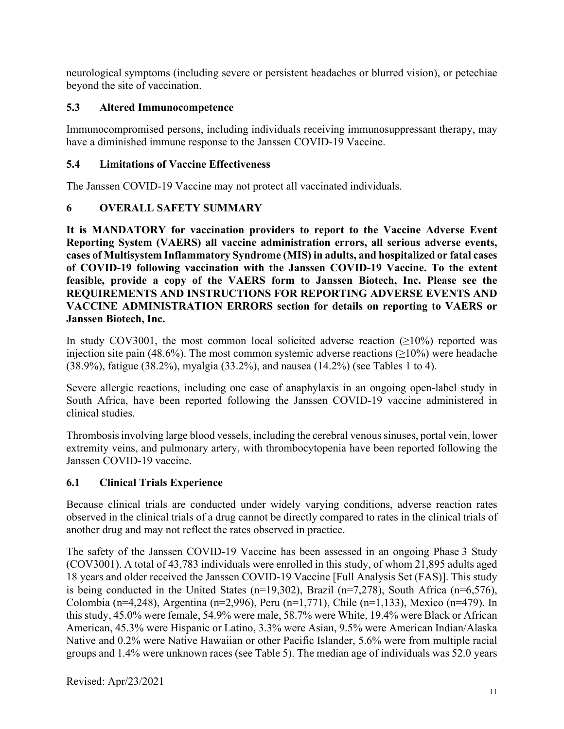neurological symptoms (including severe or persistent headaches or blurred vision), or petechiae beyond the site of vaccination.

## <span id="page-10-0"></span>**5.3 Altered Immunocompetence**

Immunocompromised persons, including individuals receiving immunosuppressant therapy, may have a diminished immune response to the Janssen COVID-19 Vaccine.

## <span id="page-10-1"></span>**5.4 Limitations of Vaccine Effectiveness**

The Janssen COVID-19 Vaccine may not protect all vaccinated individuals.

## <span id="page-10-2"></span>**6 OVERALL SAFETY SUMMARY**

**It is MANDATORY for vaccination providers to report to the Vaccine Adverse Event Reporting System (VAERS) all vaccine administration errors, all serious adverse events, cases of Multisystem Inflammatory Syndrome (MIS) in adults, and hospitalized or fatal cases of COVID-19 following vaccination with the Janssen COVID-19 Vaccine. To the extent feasible, provide a copy of the VAERS form to Janssen Biotech, Inc. Please see the REQUIREMENTS AND INSTRUCTIONS FOR REPORTING ADVERSE EVENTS AND VACCINE ADMINISTRATION ERRORS section for details on reporting to VAERS or Janssen Biotech, Inc.**

In study COV3001, the most common local solicited adverse reaction ( $\geq 10\%$ ) reported was injection site pain (48.6%). The most common systemic adverse reactions ( $\geq$ 10%) were headache (38.9%), fatigue (38.2%), myalgia (33.2%), and nausea (14.2%) (see Tables 1 to 4).

Severe allergic reactions, including one case of anaphylaxis in an ongoing open-label study in South Africa, have been reported following the Janssen COVID-19 vaccine administered in clinical studies.

Thrombosisinvolving large blood vessels, including the cerebral venous sinuses, portal vein, lower extremity veins, and pulmonary artery, with thrombocytopenia have been reported following the Janssen COVID-19 vaccine.

## <span id="page-10-3"></span>**6.1 Clinical Trials Experience**

Because clinical trials are conducted under widely varying conditions, adverse reaction rates observed in the clinical trials of a drug cannot be directly compared to rates in the clinical trials of another drug and may not reflect the rates observed in practice.

The safety of the Janssen COVID-19 Vaccine has been assessed in an ongoing Phase 3 Study (COV3001). A total of 43,783 individuals were enrolled in this study, of whom 21,895 adults aged 18 years and older received the Janssen COVID-19 Vaccine [Full Analysis Set (FAS)]. This study is being conducted in the United States (n=19,302), Brazil (n=7,278), South Africa (n=6,576), Colombia (n=4,248), Argentina (n=2,996), Peru (n=1,771), Chile (n=1,133), Mexico (n=479). In this study, 45.0% were female, 54.9% were male, 58.7% were White, 19.4% were Black or African American, 45.3% were Hispanic or Latino, 3.3% were Asian, 9.5% were American Indian/Alaska Native and 0.2% were Native Hawaiian or other Pacific Islander, 5.6% were from multiple racial groups and 1.4% were unknown races (see Table 5). The median age of individuals was 52.0 years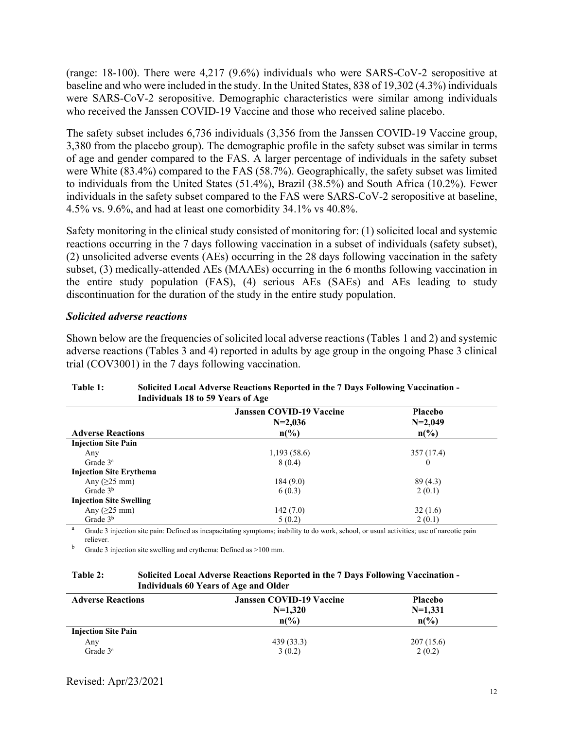(range: 18-100). There were 4,217 (9.6%) individuals who were SARS-CoV-2 seropositive at baseline and who were included in the study. In the United States, 838 of 19,302 (4.3%) individuals were SARS-CoV-2 seropositive. Demographic characteristics were similar among individuals who received the Janssen COVID-19 Vaccine and those who received saline placebo.

The safety subset includes 6,736 individuals (3,356 from the Janssen COVID-19 Vaccine group, 3,380 from the placebo group). The demographic profile in the safety subset was similar in terms of age and gender compared to the FAS. A larger percentage of individuals in the safety subset were White (83.4%) compared to the FAS (58.7%). Geographically, the safety subset was limited to individuals from the United States (51.4%), Brazil (38.5%) and South Africa (10.2%). Fewer individuals in the safety subset compared to the FAS were SARS-CoV-2 seropositive at baseline, 4.5% vs. 9.6%, and had at least one comorbidity 34.1% vs 40.8%.

Safety monitoring in the clinical study consisted of monitoring for: (1) solicited local and systemic reactions occurring in the 7 days following vaccination in a subset of individuals (safety subset), (2) unsolicited adverse events (AEs) occurring in the 28 days following vaccination in the safety subset, (3) medically-attended AEs (MAAEs) occurring in the 6 months following vaccination in the entire study population (FAS), (4) serious AEs (SAEs) and AEs leading to study discontinuation for the duration of the study in the entire study population.

#### *Solicited adverse reactions*

Shown below are the frequencies of solicited local adverse reactions (Tables 1 and 2) and systemic adverse reactions (Tables 3 and 4) reported in adults by age group in the ongoing Phase 3 clinical trial (COV3001) in the 7 days following vaccination.

| Individuals to to 37 Tears of Age |                                              |                             |  |
|-----------------------------------|----------------------------------------------|-----------------------------|--|
|                                   | <b>Janssen COVID-19 Vaccine</b><br>$N=2,036$ | <b>Placebo</b><br>$N=2,049$ |  |
| <b>Adverse Reactions</b>          | $n\binom{0}{0}$                              | $n\binom{0}{0}$             |  |
| <b>Injection Site Pain</b>        |                                              |                             |  |
| Any                               | 1,193(58.6)                                  | 357(17.4)                   |  |
| Grade $3a$                        | 8(0.4)                                       | $\bf{0}$                    |  |
| <b>Injection Site Erythema</b>    |                                              |                             |  |
| Any $(25 \text{ mm})$             | 184(9.0)                                     | 89(4.3)                     |  |
| Grade $3b$                        | 6(0.3)                                       | 2(0.1)                      |  |
| <b>Injection Site Swelling</b>    |                                              |                             |  |
| Any $(25 \text{ mm})$             | 142(7.0)                                     | 32(1.6)                     |  |
| Grade $3b$                        | 5(0.2)                                       | 2(0.1)                      |  |

#### **Table 1: Solicited Local Adverse Reactions Reported in the 7 Days Following Vaccination - Individuals 18 to 59 Years of Age**

<sup>a</sup> Grade 3 injection site pain: Defined as incapacitating symptoms; inability to do work, school, or usual activities; use of narcotic pain reliever.

<sup>b</sup> Grade 3 injection site swelling and erythema: Defined as >100 mm.

#### **Table 2: Solicited Local Adverse Reactions Reported in the 7 Days Following Vaccination - Individuals 60 Years of Age and Older**

| <b>Adverse Reactions</b>   | <b>Janssen COVID-19 Vaccine</b> | <b>Placebo</b>  |  |
|----------------------------|---------------------------------|-----------------|--|
|                            | $N=1,320$                       | $N=1,331$       |  |
|                            | $n\binom{0}{0}$                 | $n\binom{0}{0}$ |  |
| <b>Injection Site Pain</b> |                                 |                 |  |
| Any                        | 439(33.3)                       | 207(15.6)       |  |
| Grade $3^a$                | 3(0.2)                          | 2(0.2)          |  |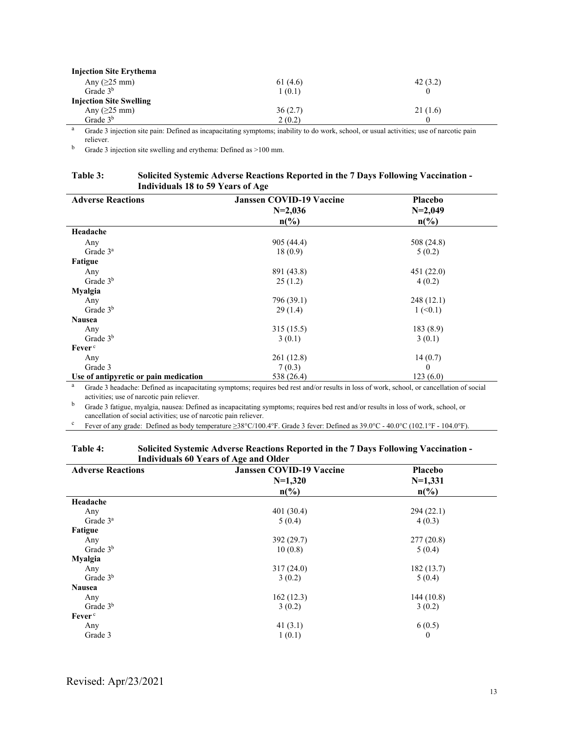| <b>Injection Site Erythema</b> |         |         |
|--------------------------------|---------|---------|
| Any $(25 \text{ mm})$          | 61(4.6) | 42(3.2) |
| Grade $3b$                     | 1(0.1)  |         |
| <b>Injection Site Swelling</b> |         |         |
| Any $(25 \text{ mm})$          | 36(2.7) | 21(1.6) |
| Grade $3b$                     | 2(0.2)  |         |

<sup>a</sup> Grade 3 injection site pain: Defined as incapacitating symptoms; inability to do work, school, or usual activities; use of narcotic pain reliever.

<sup>b</sup> Grade 3 injection site swelling and erythema: Defined as >100 mm.

#### **Table 3: Solicited Systemic Adverse Reactions Reported in the 7 Days Following Vaccination - Individuals 18 to 59 Years of Age**

| <b>Adverse Reactions</b>              | <b>Janssen COVID-19 Vaccine</b> | <b>Placebo</b>             |  |
|---------------------------------------|---------------------------------|----------------------------|--|
|                                       | $N=2,036$                       | $N=2,049$                  |  |
|                                       | $n\binom{0}{0}$                 | $n\frac{6}{6}$             |  |
| Headache                              |                                 |                            |  |
| Any                                   | 905 (44.4)                      | 508 (24.8)                 |  |
| Grade $3a$                            | 18(0.9)                         | 5(0.2)                     |  |
| Fatigue                               |                                 |                            |  |
| Any                                   | 891 (43.8)                      | 451(22.0)                  |  |
| Grade $3b$                            | 25(1.2)                         | 4(0.2)                     |  |
| <b>Myalgia</b>                        |                                 |                            |  |
| Any                                   | 796 (39.1)                      | 248(12.1)                  |  |
| Grade $3b$                            | 29(1.4)                         | $1 \left( \le 0.1 \right)$ |  |
| <b>Nausea</b>                         |                                 |                            |  |
| Any                                   | 315(15.5)                       | 183 (8.9)                  |  |
| Grade $3b$                            | 3(0.1)                          | 3(0.1)                     |  |
| Fever <sup>c</sup>                    |                                 |                            |  |
| Any                                   | 261(12.8)                       | 14(0.7)                    |  |
| Grade 3                               | 7(0.3)                          | $\theta$                   |  |
| Use of antipyretic or pain medication | 538 (26.4)                      | 123(6.0)                   |  |

<sup>a</sup> Grade 3 headache: Defined as incapacitating symptoms; requires bed rest and/or results in loss of work, school, or cancellation of social activities; use of narcotic pain reliever.

<sup>b</sup> Grade 3 fatigue, myalgia, nausea: Defined as incapacitating symptoms; requires bed rest and/or results in loss of work, school, or cancellation of social activities; use of narcotic pain reliever.

<sup>c</sup> Fever of any grade: Defined as body temperature  $\geq 38^{\circ}$ C/100.4°F. Grade 3 fever: Defined as 39.0°C - 40.0°C (102.1°F - 104.0°F).

#### **Table 4: Solicited Systemic Adverse Reactions Reported in the 7 Days Following Vaccination - Individuals 60 Years of Age and Older**

| <b>Adverse Reactions</b> | <b>Janssen COVID-19 Vaccine</b> | Placebo         |  |  |
|--------------------------|---------------------------------|-----------------|--|--|
|                          | $N=1,320$                       | $N=1,331$       |  |  |
|                          | $n\binom{0}{0}$                 | $n\binom{0}{0}$ |  |  |
| Headache                 |                                 |                 |  |  |
| Any                      | 401 (30.4)                      | 294(22.1)       |  |  |
| Grade $3^a$              | 5(0.4)                          | 4(0.3)          |  |  |
| Fatigue                  |                                 |                 |  |  |
| Any                      | 392 (29.7)                      | 277(20.8)       |  |  |
| Grade 3 <sup>b</sup>     | 10(0.8)                         | 5(0.4)          |  |  |
| Myalgia                  |                                 |                 |  |  |
| Any                      | 317(24.0)                       | 182(13.7)       |  |  |
| Grade $3b$               | 3(0.2)                          | 5(0.4)          |  |  |
| <b>Nausea</b>            |                                 |                 |  |  |
| Any                      | 162(12.3)                       | 144(10.8)       |  |  |
| Grade $3b$               | 3(0.2)                          | 3(0.2)          |  |  |
| Fever <sup>c</sup>       |                                 |                 |  |  |
| Any                      | 41 $(3.1)$                      | 6(0.5)          |  |  |
| Grade 3                  | 1(0.1)                          | $\theta$        |  |  |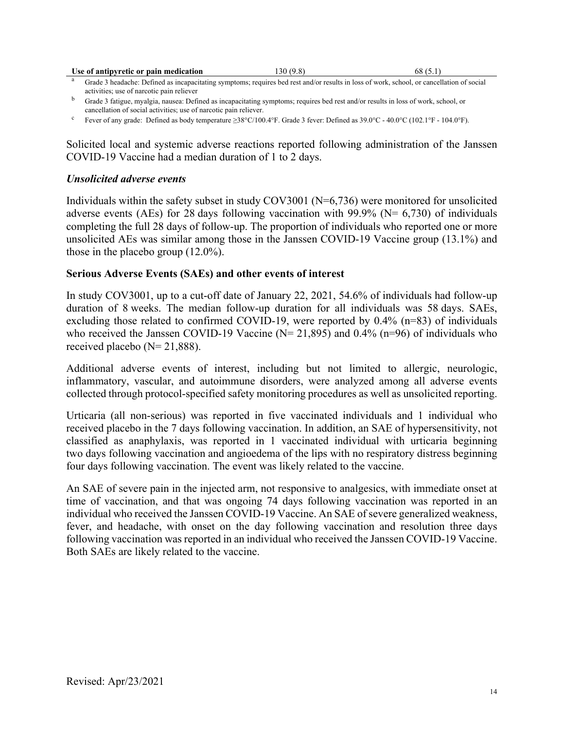| Use of antipyretic or pain medication                                                                                                                  | 30 (9.8) | 68 (5.1) |
|--------------------------------------------------------------------------------------------------------------------------------------------------------|----------|----------|
| <sup>a</sup> Grade 3 headache: Defined as incapacitating symptoms; requires bed rest and/or results in loss of work, school, or cancellation of social |          |          |

activities; use of narcotic pain reliever

<sup>c</sup> Fever of any grade: Defined as body temperature ≥38°C/100.4°F. Grade 3 fever: Defined as 39.0°C - 40.0°C (102.1°F - 104.0°F).

Solicited local and systemic adverse reactions reported following administration of the Janssen COVID-19 Vaccine had a median duration of 1 to 2 days.

#### *Unsolicited adverse events*

Individuals within the safety subset in study COV3001 (N=6,736) were monitored for unsolicited adverse events (AEs) for 28 days following vaccination with 99.9% ( $N = 6,730$ ) of individuals completing the full 28 days of follow-up. The proportion of individuals who reported one or more unsolicited AEs was similar among those in the Janssen COVID-19 Vaccine group (13.1%) and those in the placebo group (12.0%).

#### **Serious Adverse Events (SAEs) and other events of interest**

In study COV3001, up to a cut-off date of January 22, 2021, 54.6% of individuals had follow-up duration of 8 weeks. The median follow-up duration for all individuals was 58 days. SAEs, excluding those related to confirmed COVID-19, were reported by 0.4% (n=83) of individuals who received the Janssen COVID-19 Vaccine ( $N= 21,895$ ) and 0.4% (n=96) of individuals who received placebo  $(N= 21,888)$ .

Additional adverse events of interest, including but not limited to allergic, neurologic, inflammatory, vascular, and autoimmune disorders, were analyzed among all adverse events collected through protocol-specified safety monitoring procedures as well as unsolicited reporting.

Urticaria (all non-serious) was reported in five vaccinated individuals and 1 individual who received placebo in the 7 days following vaccination. In addition, an SAE of hypersensitivity, not classified as anaphylaxis, was reported in 1 vaccinated individual with urticaria beginning two days following vaccination and angioedema of the lips with no respiratory distress beginning four days following vaccination. The event was likely related to the vaccine.

An SAE of severe pain in the injected arm, not responsive to analgesics, with immediate onset at time of vaccination, and that was ongoing 74 days following vaccination was reported in an individual who received the Janssen COVID-19 Vaccine. An SAE of severe generalized weakness, fever, and headache, with onset on the day following vaccination and resolution three days following vaccination was reported in an individual who received the Janssen COVID-19 Vaccine. Both SAEs are likely related to the vaccine.

<sup>b</sup> Grade 3 fatigue, myalgia, nausea: Defined as incapacitating symptoms; requires bed rest and/or results in loss of work, school, or cancellation of social activities; use of narcotic pain reliever.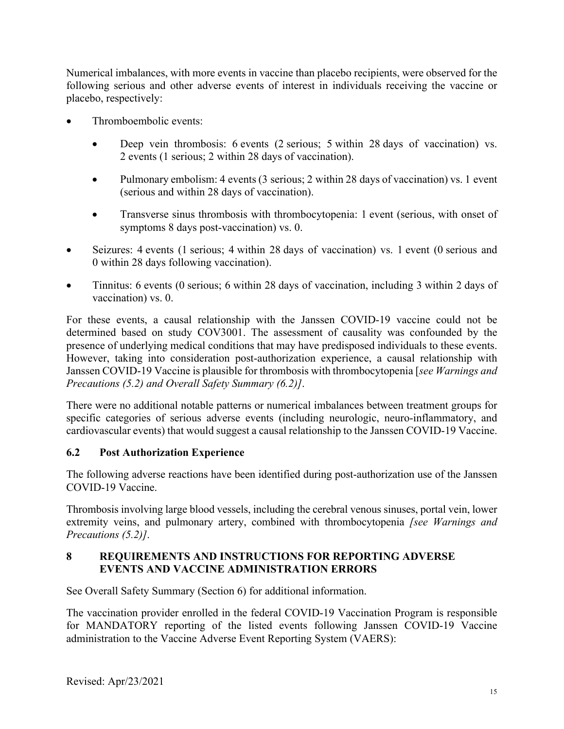Numerical imbalances, with more events in vaccine than placebo recipients, were observed for the following serious and other adverse events of interest in individuals receiving the vaccine or placebo, respectively:

- Thromboembolic events:
	- Deep vein thrombosis: 6 events (2 serious; 5 within 28 days of vaccination) vs. 2 events (1 serious; 2 within 28 days of vaccination).
	- Pulmonary embolism: 4 events (3 serious; 2 within 28 days of vaccination) vs. 1 event (serious and within 28 days of vaccination).
	- Transverse sinus thrombosis with thrombocytopenia: 1 event (serious, with onset of symptoms 8 days post-vaccination) vs. 0.
- Seizures: 4 events (1 serious; 4 within 28 days of vaccination) vs. 1 event (0 serious and 0 within 28 days following vaccination).
- Tinnitus: 6 events (0 serious; 6 within 28 days of vaccination, including 3 within 2 days of vaccination) vs. 0.

For these events, a causal relationship with the Janssen COVID-19 vaccine could not be determined based on study COV3001. The assessment of causality was confounded by the presence of underlying medical conditions that may have predisposed individuals to these events. However, taking into consideration post-authorization experience, a causal relationship with Janssen COVID-19 Vaccine is plausible for thrombosis with thrombocytopenia [*see Warnings and Precautions (5.2) and Overall Safety Summary (6.2)]*.

There were no additional notable patterns or numerical imbalances between treatment groups for specific categories of serious adverse events (including neurologic, neuro-inflammatory, and cardiovascular events) that would suggest a causal relationship to the Janssen COVID-19 Vaccine.

## <span id="page-14-0"></span>**6.2 Post Authorization Experience**

The following adverse reactions have been identified during post-authorization use of the Janssen COVID-19 Vaccine.

Thrombosis involving large blood vessels, including the cerebral venous sinuses, portal vein, lower extremity veins, and pulmonary artery, combined with thrombocytopenia *[see Warnings and Precautions (5.2)]*.

## <span id="page-14-1"></span>**8 REQUIREMENTS AND INSTRUCTIONS FOR REPORTING ADVERSE EVENTS AND VACCINE ADMINISTRATION ERRORS**

See Overall Safety Summary (Section 6) for additional information.

The vaccination provider enrolled in the federal COVID-19 Vaccination Program is responsible for MANDATORY reporting of the listed events following Janssen COVID-19 Vaccine administration to the Vaccine Adverse Event Reporting System (VAERS):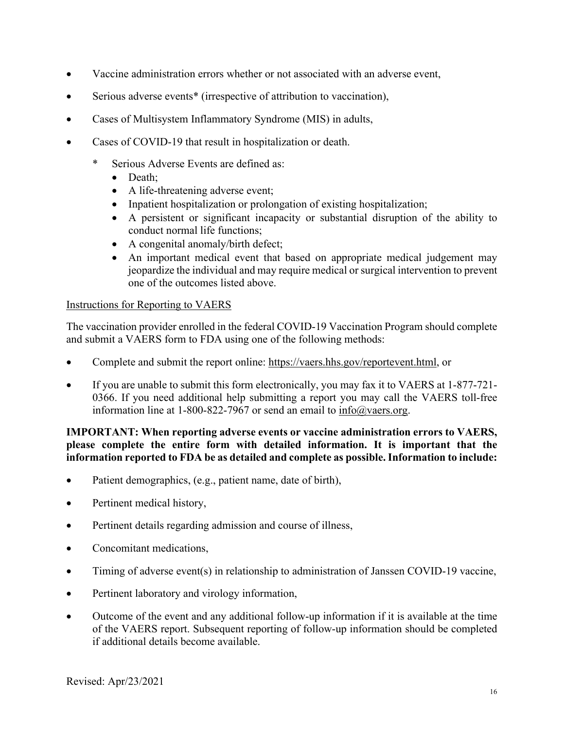- Vaccine administration errors whether or not associated with an adverse event,
- Serious adverse events<sup>\*</sup> (irrespective of attribution to vaccination),
- Cases of Multisystem Inflammatory Syndrome (MIS) in adults,
- Cases of COVID-19 that result in hospitalization or death.
	- \* Serious Adverse Events are defined as:
		- Death:
		- A life-threatening adverse event;
		- Inpatient hospitalization or prolongation of existing hospitalization;
		- A persistent or significant incapacity or substantial disruption of the ability to conduct normal life functions;
		- A congenital anomaly/birth defect;
		- An important medical event that based on appropriate medical judgement may jeopardize the individual and may require medical or surgical intervention to prevent one of the outcomes listed above.

#### Instructions for Reporting to VAERS

The vaccination provider enrolled in the federal COVID-19 Vaccination Program should complete and submit a VAERS form to FDA using one of the following methods:

- Complete and submit the report online: [https://vaers.hhs.gov/reportevent.html,](https://vaers.hhs.gov/reportevent.html) or
- If you are unable to submit this form electronically, you may fax it to VAERS at 1-877-721- 0366. If you need additional help submitting a report you may call the VAERS toll-free information line at 1-800-822-7967 or send an email to [info@vaers.org.](mailto:info@vaers.org)

#### **IMPORTANT: When reporting adverse events or vaccine administration errors to VAERS, please complete the entire form with detailed information. It is important that the information reported to FDA be as detailed and complete as possible. Information to include:**

- Patient demographics, (e.g., patient name, date of birth),
- Pertinent medical history,
- Pertinent details regarding admission and course of illness,
- Concomitant medications,
- Timing of adverse event(s) in relationship to administration of Janssen COVID-19 vaccine,
- Pertinent laboratory and virology information,
- Outcome of the event and any additional follow-up information if it is available at the time of the VAERS report. Subsequent reporting of follow-up information should be completed if additional details become available.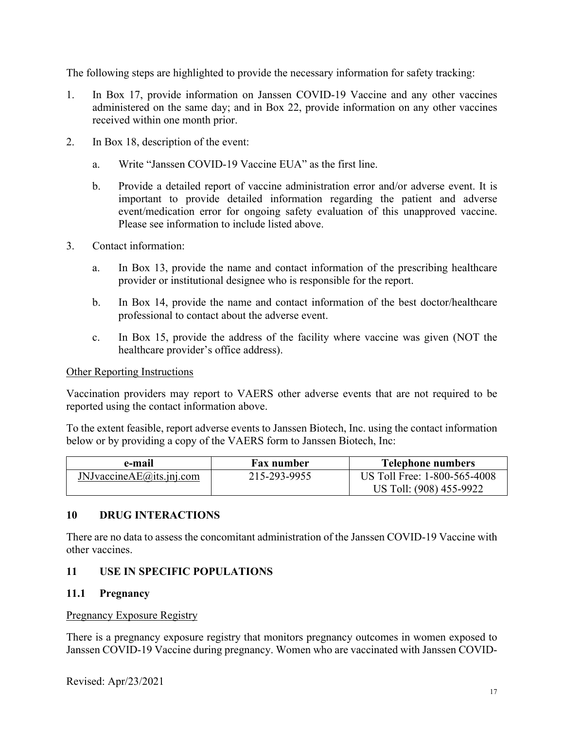The following steps are highlighted to provide the necessary information for safety tracking:

- 1. In Box 17, provide information on Janssen COVID-19 Vaccine and any other vaccines administered on the same day; and in Box 22, provide information on any other vaccines received within one month prior.
- 2. In Box 18, description of the event:
	- a. Write "Janssen COVID-19 Vaccine EUA" as the first line.
	- b. Provide a detailed report of vaccine administration error and/or adverse event. It is important to provide detailed information regarding the patient and adverse event/medication error for ongoing safety evaluation of this unapproved vaccine. Please see information to include listed above.
- 3. Contact information:
	- a. In Box 13, provide the name and contact information of the prescribing healthcare provider or institutional designee who is responsible for the report.
	- b. In Box 14, provide the name and contact information of the best doctor/healthcare professional to contact about the adverse event.
	- c. In Box 15, provide the address of the facility where vaccine was given (NOT the healthcare provider's office address).

#### Other Reporting Instructions

Vaccination providers may report to VAERS other adverse events that are not required to be reported using the contact information above.

To the extent feasible, report adverse events to Janssen Biotech, Inc. using the contact information below or by providing a copy of the VAERS form to Janssen Biotech, Inc:

| e-mail                          | <b>Fax number</b> | <b>Telephone numbers</b>     |
|---------------------------------|-------------------|------------------------------|
| $J$ NJvaccine $AE$ @its.jnj.com | 215-293-9955      | US Toll Free: 1-800-565-4008 |
|                                 |                   | US Toll: (908) 455-9922      |

## <span id="page-16-0"></span>**10 DRUG INTERACTIONS**

There are no data to assess the concomitant administration of the Janssen COVID-19 Vaccine with other vaccines.

## <span id="page-16-1"></span>**11 USE IN SPECIFIC POPULATIONS**

#### <span id="page-16-2"></span>**11.1 Pregnancy**

#### Pregnancy Exposure Registry

There is a pregnancy exposure registry that monitors pregnancy outcomes in women exposed to Janssen COVID-19 Vaccine during pregnancy. Women who are vaccinated with Janssen COVID-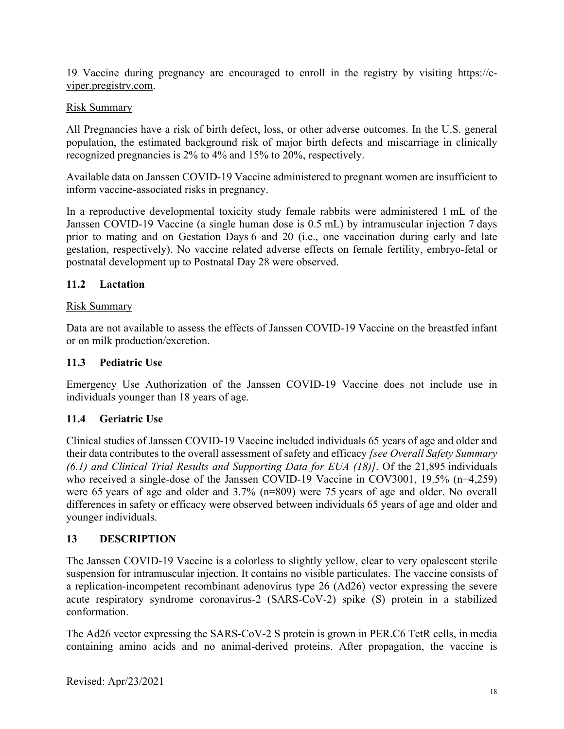19 Vaccine during pregnancy are encouraged to enroll in the registry by visiting [https://c](https://c-viper.pregistry.com/)[viper.pregistry.com.](https://c-viper.pregistry.com/)

## Risk Summary

All Pregnancies have a risk of birth defect, loss, or other adverse outcomes. In the U.S. general population, the estimated background risk of major birth defects and miscarriage in clinically recognized pregnancies is 2% to 4% and 15% to 20%, respectively.

Available data on Janssen COVID-19 Vaccine administered to pregnant women are insufficient to inform vaccine-associated risks in pregnancy.

In a reproductive developmental toxicity study female rabbits were administered 1 mL of the Janssen COVID-19 Vaccine (a single human dose is 0.5 mL) by intramuscular injection 7 days prior to mating and on Gestation Days 6 and 20 (i.e., one vaccination during early and late gestation, respectively). No vaccine related adverse effects on female fertility, embryo-fetal or postnatal development up to Postnatal Day 28 were observed.

## <span id="page-17-0"></span>**11.2 Lactation**

#### Risk Summary

Data are not available to assess the effects of Janssen COVID-19 Vaccine on the breastfed infant or on milk production/excretion.

#### <span id="page-17-1"></span>**11.3 Pediatric Use**

Emergency Use Authorization of the Janssen COVID-19 Vaccine does not include use in individuals younger than 18 years of age.

## <span id="page-17-2"></span>**11.4 Geriatric Use**

Clinical studies of Janssen COVID-19 Vaccine included individuals 65 years of age and older and their data contributes to the overall assessment of safety and efficacy *[see Overall Safety Summary (6.1) and Clinical Trial Results and Supporting Data for EUA (18)]*. Of the 21,895 individuals who received a single-dose of the Janssen COVID-19 Vaccine in COV3001, 19.5% (n=4,259) were 65 years of age and older and 3.7% (n=809) were 75 years of age and older. No overall differences in safety or efficacy were observed between individuals 65 years of age and older and younger individuals.

## <span id="page-17-3"></span>**13 DESCRIPTION**

The Janssen COVID-19 Vaccine is a colorless to slightly yellow, clear to very opalescent sterile suspension for intramuscular injection. It contains no visible particulates. The vaccine consists of a replication-incompetent recombinant adenovirus type 26 (Ad26) vector expressing the severe acute respiratory syndrome coronavirus-2 (SARS-CoV-2) spike (S) protein in a stabilized conformation.

The Ad26 vector expressing the SARS-CoV-2 S protein is grown in PER.C6 TetR cells, in media containing amino acids and no animal-derived proteins. After propagation, the vaccine is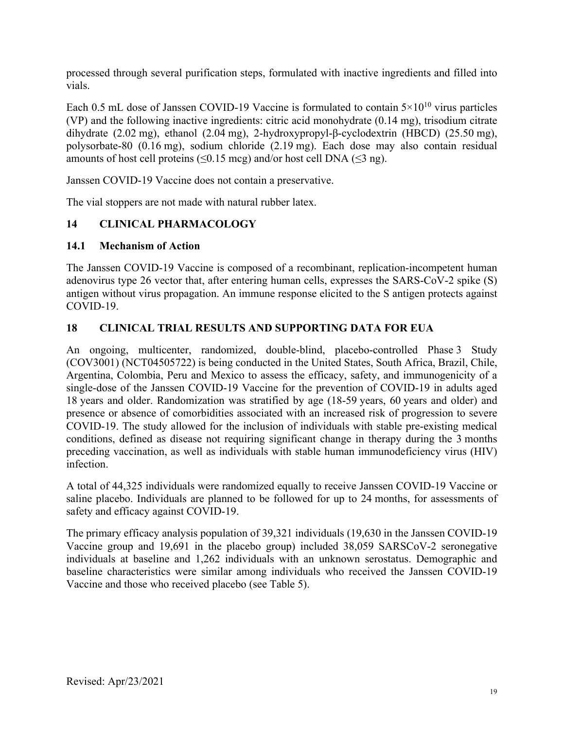processed through several purification steps, formulated with inactive ingredients and filled into vials.

Each 0.5 mL dose of Janssen COVID-19 Vaccine is formulated to contain  $5 \times 10^{10}$  virus particles (VP) and the following inactive ingredients: citric acid monohydrate (0.14 mg), trisodium citrate dihydrate (2.02 mg), ethanol (2.04 mg), 2-hydroxypropyl-β-cyclodextrin (HBCD) (25.50 mg), polysorbate-80 (0.16 mg), sodium chloride (2.19 mg). Each dose may also contain residual amounts of host cell proteins ( $\leq 0.15$  mcg) and/or host cell DNA ( $\leq 3$  ng).

Janssen COVID-19 Vaccine does not contain a preservative.

The vial stoppers are not made with natural rubber latex.

## <span id="page-18-0"></span>**14 CLINICAL PHARMACOLOGY**

#### <span id="page-18-1"></span>**14.1 Mechanism of Action**

The Janssen COVID-19 Vaccine is composed of a recombinant, replication-incompetent human adenovirus type 26 vector that, after entering human cells, expresses the SARS-CoV-2 spike (S) antigen without virus propagation. An immune response elicited to the S antigen protects against COVID-19.

## <span id="page-18-2"></span>**18 CLINICAL TRIAL RESULTS AND SUPPORTING DATA FOR EUA**

An ongoing, multicenter, randomized, double-blind, placebo-controlled Phase 3 Study (COV3001) (NCT04505722) is being conducted in the United States, South Africa, Brazil, Chile, Argentina, Colombia, Peru and Mexico to assess the efficacy, safety, and immunogenicity of a single-dose of the Janssen COVID-19 Vaccine for the prevention of COVID-19 in adults aged 18 years and older. Randomization was stratified by age (18-59 years, 60 years and older) and presence or absence of comorbidities associated with an increased risk of progression to severe COVID-19. The study allowed for the inclusion of individuals with stable pre-existing medical conditions, defined as disease not requiring significant change in therapy during the 3 months preceding vaccination, as well as individuals with stable human immunodeficiency virus (HIV) infection.

A total of 44,325 individuals were randomized equally to receive Janssen COVID-19 Vaccine or saline placebo. Individuals are planned to be followed for up to 24 months, for assessments of safety and efficacy against COVID-19.

The primary efficacy analysis population of 39,321 individuals (19,630 in the Janssen COVID-19 Vaccine group and 19,691 in the placebo group) included 38,059 SARSCoV-2 seronegative individuals at baseline and 1,262 individuals with an unknown serostatus. Demographic and baseline characteristics were similar among individuals who received the Janssen COVID-19 Vaccine and those who received placebo (see Table 5).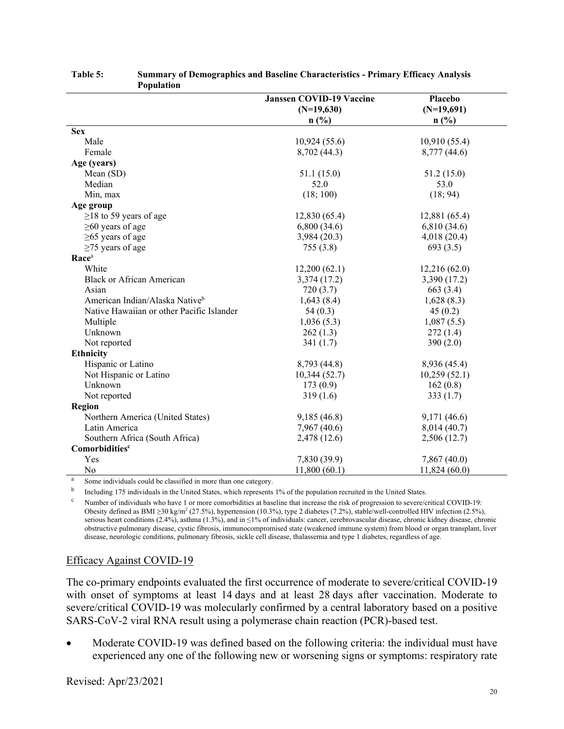| 1 орининоп                                 |                                 |               |
|--------------------------------------------|---------------------------------|---------------|
|                                            | <b>Janssen COVID-19 Vaccine</b> | Placebo       |
|                                            | $(N=19,630)$                    | $(N=19,691)$  |
|                                            | n(%)                            | $n$ (%)       |
| <b>Sex</b>                                 |                                 |               |
| Male                                       | 10,924(55.6)                    | 10,910(55.4)  |
| Female                                     | 8,702 (44.3)                    | 8,777 (44.6)  |
| Age (years)                                |                                 |               |
| Mean (SD)                                  | 51.1(15.0)                      | 51.2 (15.0)   |
| Median                                     | 52.0                            | 53.0          |
| Min, max                                   | (18; 100)                       | (18; 94)      |
| Age group                                  |                                 |               |
| $\geq$ 18 to 59 years of age               | 12,830(65.4)                    | 12,881 (65.4) |
| $\geq 60$ years of age                     | 6,800(34.6)                     | 6,810 (34.6)  |
| $\geq$ 65 years of age                     | 3,984 (20.3)                    | 4,018(20.4)   |
| $\geq$ 75 years of age                     | 755(3.8)                        | 693(3.5)      |
| Race <sup>a</sup>                          |                                 |               |
| White                                      | 12,200(62.1)                    | 12,216(62.0)  |
| <b>Black or African American</b>           | 3,374 (17.2)                    | 3,390 (17.2)  |
| Asian                                      | 720(3.7)                        | 663 (3.4)     |
| American Indian/Alaska Native <sup>b</sup> | 1,643(8.4)                      | 1,628(8.3)    |
| Native Hawaiian or other Pacific Islander  | 54(0.3)                         | 45(0.2)       |
| Multiple                                   | 1,036(5.3)                      | 1,087(5.5)    |
| Unknown                                    | 262(1.3)                        | 272(1.4)      |
| Not reported                               | 341(1.7)                        | 390 $(2.0)$   |
| <b>Ethnicity</b>                           |                                 |               |
| Hispanic or Latino                         | 8,793 (44.8)                    | 8,936 (45.4)  |
| Not Hispanic or Latino                     | 10,344(52.7)                    | 10,259(52.1)  |
| Unknown                                    | 173(0.9)                        | 162(0.8)      |
| Not reported                               | 319(1.6)                        | 333(1.7)      |
| <b>Region</b>                              |                                 |               |
| Northern America (United States)           | 9,185(46.8)                     | 9,171 (46.6)  |
| Latin America                              | 7,967 (40.6)                    | 8,014 (40.7)  |
| Southern Africa (South Africa)             | 2,478 (12.6)                    | 2,506 (12.7)  |
| Comorbiditiesc                             |                                 |               |
| Yes                                        | 7,830 (39.9)                    | 7,867 (40.0)  |
| No                                         | 11,800(60.1)                    | 11,824(60.0)  |

#### **Table 5: Summary of Demographics and Baseline Characteristics - Primary Efficacy Analysis Population**

<sup>a</sup> Some individuals could be classified in more than one category.

<sup>b</sup> Including 175 individuals in the United States, which represents 1% of the population recruited in the United States.

 $\degree$  Number of individuals who have 1 or more comorbidities at baseline that increase the risk of progression to severe/critical COVID-19: Obesity defined as BMI ≥30 kg/m2 (27.5%), hypertension (10.3%), type 2 diabetes (7.2%), stable/well-controlled HIV infection (2.5%), serious heart conditions (2.4%), asthma (1.3%), and in  $\leq$ 1% of individuals: cancer, cerebrovascular disease, chronic kidney disease, chronic obstructive pulmonary disease, cystic fibrosis, immunocompromised state (weakened immune system) from blood or organ transplant, liver disease, neurologic conditions, pulmonary fibrosis, sickle cell disease, thalassemia and type 1 diabetes, regardless of age.

#### Efficacy Against COVID-19

The co-primary endpoints evaluated the first occurrence of moderate to severe/critical COVID-19 with onset of symptoms at least 14 days and at least 28 days after vaccination. Moderate to severe/critical COVID-19 was molecularly confirmed by a central laboratory based on a positive SARS-CoV-2 viral RNA result using a polymerase chain reaction (PCR)-based test.

• Moderate COVID-19 was defined based on the following criteria: the individual must have experienced any one of the following new or worsening signs or symptoms: respiratory rate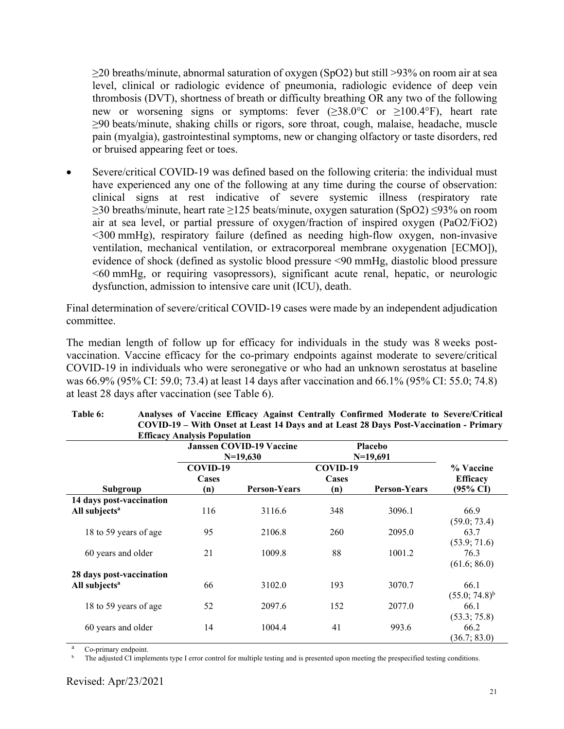$\geq$ 20 breaths/minute, abnormal saturation of oxygen (SpO2) but still  $>$ 93% on room air at sea level, clinical or radiologic evidence of pneumonia, radiologic evidence of deep vein thrombosis (DVT), shortness of breath or difficulty breathing OR any two of the following new or worsening signs or symptoms: fever  $(\geq 38.0^{\circ}C$  or  $\geq 100.4^{\circ}F)$ , heart rate ≥90 beats/minute, shaking chills or rigors, sore throat, cough, malaise, headache, muscle pain (myalgia), gastrointestinal symptoms, new or changing olfactory or taste disorders, red or bruised appearing feet or toes.

• Severe/critical COVID-19 was defined based on the following criteria: the individual must have experienced any one of the following at any time during the course of observation: clinical signs at rest indicative of severe systemic illness (respiratory rate ≥30 breaths/minute, heart rate ≥125 beats/minute, oxygen saturation (SpO2) ≤93% on room air at sea level, or partial pressure of oxygen/fraction of inspired oxygen (PaO2/FiO2) <300 mmHg), respiratory failure (defined as needing high-flow oxygen, non-invasive ventilation, mechanical ventilation, or extracorporeal membrane oxygenation [ECMO]), evidence of shock (defined as systolic blood pressure <90 mmHg, diastolic blood pressure <60 mmHg, or requiring vasopressors), significant acute renal, hepatic, or neurologic dysfunction, admission to intensive care unit (ICU), death.

Final determination of severe/critical COVID-19 cases were made by an independent adjudication committee.

The median length of follow up for efficacy for individuals in the study was 8 weeks postvaccination. Vaccine efficacy for the co-primary endpoints against moderate to severe/critical COVID-19 in individuals who were seronegative or who had an unknown serostatus at baseline was 66.9% (95% CI: 59.0; 73.4) at least 14 days after vaccination and 66.1% (95% CI: 55.0; 74.8) at least 28 days after vaccination (see Table 6).

|                           |                   | <b>Janssen COVID-19 Vaccine</b> |                   | <b>Placebo</b>      |                              |
|---------------------------|-------------------|---------------------------------|-------------------|---------------------|------------------------------|
|                           |                   | $N=19,630$                      |                   | $N=19,691$          |                              |
|                           | COVID-19<br>Cases |                                 | COVID-19<br>Cases |                     | % Vaccine<br><b>Efficacy</b> |
| Subgroup                  | (n)               | <b>Person-Years</b>             | (n)               | <b>Person-Years</b> | $(95\% \text{ CI})$          |
| 14 days post-vaccination  |                   |                                 |                   |                     |                              |
| All subjects <sup>a</sup> | 116               | 3116.6                          | 348               | 3096.1              | 66.9<br>(59.0; 73.4)         |
| 18 to 59 years of age     | 95                | 2106.8                          | 260               | 2095.0              | 63.7<br>(53.9; 71.6)         |
| 60 years and older        | 21                | 1009.8                          | 88                | 1001.2              | 76.3<br>(61.6; 86.0)         |
| 28 days post-vaccination  |                   |                                 |                   |                     |                              |
| All subjects <sup>a</sup> | 66                | 3102.0                          | 193               | 3070.7              | 66.1<br>$(55.0; 74.8)^{b}$   |
| 18 to 59 years of age     | 52                | 2097.6                          | 152               | 2077.0              | 66.1<br>(53.3; 75.8)         |
| 60 years and older        | 14                | 1004.4                          | 41                | 993.6               | 66.2<br>(36.7; 83.0)         |

| Table 6: | Analyses of Vaccine Efficacy Against Centrally Confirmed Moderate to Severe/Critical   |
|----------|----------------------------------------------------------------------------------------|
|          | COVID-19 – With Onset at Least 14 Days and at Least 28 Days Post-Vaccination - Primary |
|          | <b>Efficacy Analysis Population</b>                                                    |

Co-primary endpoint.

The adjusted CI implements type I error control for multiple testing and is presented upon meeting the prespecified testing conditions.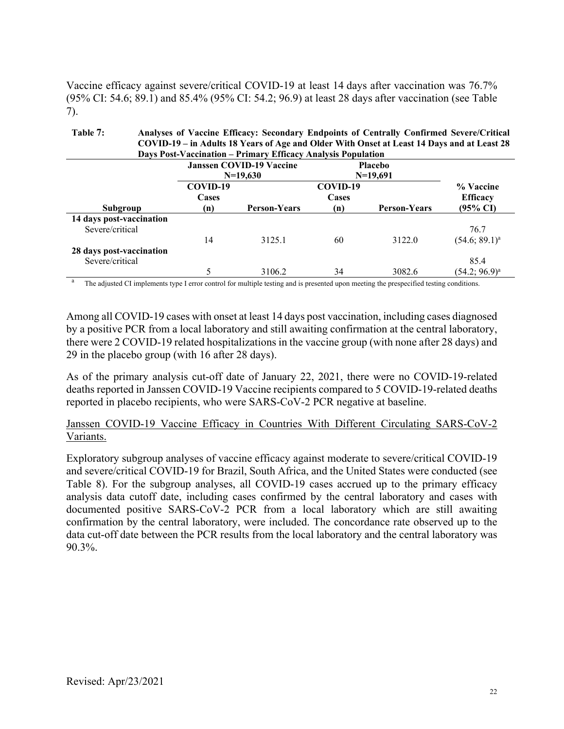Vaccine efficacy against severe/critical COVID-19 at least 14 days after vaccination was 76.7% (95% CI: 54.6; 89.1) and 85.4% (95% CI: 54.2; 96.9) at least 28 days after vaccination (see Table 7).

**Table 7: Analyses of Vaccine Efficacy: Secondary Endpoints of Centrally Confirmed Severe/Critical COVID-19 – in Adults 18 Years of Age and Older With Onset at Least 14 Days and at Least 28 Days Post-Vaccination – Primary Efficacy Analysis Population**

|                                             | <b>Janssen COVID-19 Vaccine</b><br>$N=19,630$ |                     | <b>Placebo</b><br>$N=19,691$ |                     |                                          |
|---------------------------------------------|-----------------------------------------------|---------------------|------------------------------|---------------------|------------------------------------------|
| Subgroup                                    | COVID-19<br>Cases<br>(n)                      | <b>Person-Years</b> | COVID-19<br>Cases<br>(n)     | <b>Person-Years</b> | % Vaccine<br><b>Efficacy</b><br>(95% CI) |
| 14 days post-vaccination<br>Severe/critical | 14                                            | 3125.1              | 60                           | 3122.0              | 76.7<br>$(54.6; 89.1)^a$                 |
| 28 days post-vaccination<br>Severe/critical |                                               | 3106.2              | 34                           | 3082.6              | 85.4<br>$(54.2; 96.9)^a$                 |

<sup>a</sup> The adjusted CI implements type I error control for multiple testing and is presented upon meeting the prespecified testing conditions.

Among all COVID-19 cases with onset at least 14 days post vaccination, including cases diagnosed by a positive PCR from a local laboratory and still awaiting confirmation at the central laboratory, there were 2 COVID-19 related hospitalizations in the vaccine group (with none after 28 days) and 29 in the placebo group (with 16 after 28 days).

As of the primary analysis cut-off date of January 22, 2021, there were no COVID-19-related deaths reported in Janssen COVID-19 Vaccine recipients compared to 5 COVID-19-related deaths reported in placebo recipients, who were SARS-CoV-2 PCR negative at baseline.

Janssen COVID-19 Vaccine Efficacy in Countries With Different Circulating SARS-CoV-2 Variants.

Exploratory subgroup analyses of vaccine efficacy against moderate to severe/critical COVID-19 and severe/critical COVID-19 for Brazil, South Africa, and the United States were conducted (see Table 8). For the subgroup analyses, all COVID-19 cases accrued up to the primary efficacy analysis data cutoff date, including cases confirmed by the central laboratory and cases with documented positive SARS-CoV-2 PCR from a local laboratory which are still awaiting confirmation by the central laboratory, were included. The concordance rate observed up to the data cut-off date between the PCR results from the local laboratory and the central laboratory was 90.3%.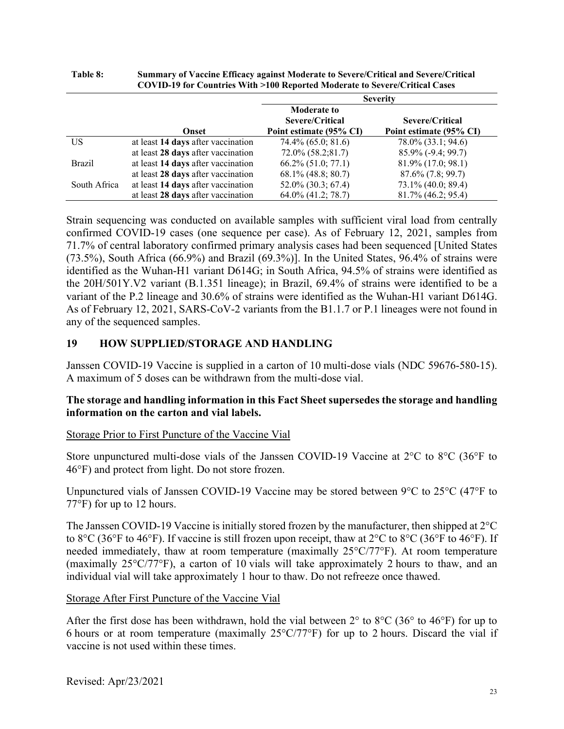|               |                                    | <b>Severity</b>                                                  |                                            |  |
|---------------|------------------------------------|------------------------------------------------------------------|--------------------------------------------|--|
|               | Onset                              | <b>Moderate to</b><br>Severe/Critical<br>Point estimate (95% CI) | Severe/Critical<br>Point estimate (95% CI) |  |
| US            | at least 14 days after vaccination | 74.4% (65.0; 81.6)                                               | 78.0% (33.1; 94.6)                         |  |
|               | at least 28 days after vaccination | $72.0\% (58.2; 81.7)$                                            | 85.9% (-9.4; 99.7)                         |  |
| <b>Brazil</b> | at least 14 days after vaccination | $66.2\% (51.0; 77.1)$                                            | 81.9% (17.0; 98.1)                         |  |
|               | at least 28 days after vaccination | $68.1\%$ (48.8; 80.7)                                            | $87.6\%$ $(7.8; 99.7)$                     |  |
| South Africa  | at least 14 days after vaccination | 52.0% (30.3; 67.4)                                               | 73.1% (40.0; 89.4)                         |  |
|               | at least 28 days after vaccination | 64.0% (41.2; 78.7)                                               | 81.7% (46.2; 95.4)                         |  |

| <b>Table 8:</b> | Summary of Vaccine Efficacy against Moderate to Severe/Critical and Severe/Critical |
|-----------------|-------------------------------------------------------------------------------------|
|                 | COVID-19 for Countries With >100 Reported Moderate to Severe/Critical Cases         |

Strain sequencing was conducted on available samples with sufficient viral load from centrally confirmed COVID-19 cases (one sequence per case). As of February 12, 2021, samples from 71.7% of central laboratory confirmed primary analysis cases had been sequenced [United States (73.5%), South Africa (66.9%) and Brazil (69.3%)]. In the United States, 96.4% of strains were identified as the Wuhan-H1 variant D614G; in South Africa, 94.5% of strains were identified as the 20H/501Y.V2 variant (B.1.351 lineage); in Brazil, 69.4% of strains were identified to be a variant of the P.2 lineage and 30.6% of strains were identified as the Wuhan-H1 variant D614G. As of February 12, 2021, SARS-CoV-2 variants from the B1.1.7 or P.1 lineages were not found in any of the sequenced samples.

## <span id="page-22-0"></span>**19 HOW SUPPLIED/STORAGE AND HANDLING**

Janssen COVID-19 Vaccine is supplied in a carton of 10 multi-dose vials (NDC 59676-580-15). A maximum of 5 doses can be withdrawn from the multi-dose vial.

#### **The storage and handling information in this Fact Sheet supersedes the storage and handling information on the carton and vial labels.**

#### Storage Prior to First Puncture of the Vaccine Vial

Store unpunctured multi-dose vials of the Janssen COVID-19 Vaccine at 2°C to 8°C (36°F to 46°F) and protect from light. Do not store frozen.

Unpunctured vials of Janssen COVID-19 Vaccine may be stored between 9°C to 25°C (47°F to 77°F) for up to 12 hours.

The Janssen COVID-19 Vaccine is initially stored frozen by the manufacturer, then shipped at 2°C to 8°C (36°F to 46°F). If vaccine is still frozen upon receipt, thaw at 2°C to 8°C (36°F to 46°F). If needed immediately, thaw at room temperature (maximally 25°C/77°F). At room temperature (maximally 25°C/77°F), a carton of 10 vials will take approximately 2 hours to thaw, and an individual vial will take approximately 1 hour to thaw. Do not refreeze once thawed.

#### Storage After First Puncture of the Vaccine Vial

After the first dose has been withdrawn, hold the vial between  $2^{\circ}$  to  $8^{\circ}C$  (36° to 46°F) for up to 6 hours or at room temperature (maximally  $25^{\circ}$ C/77°F) for up to 2 hours. Discard the vial if vaccine is not used within these times.